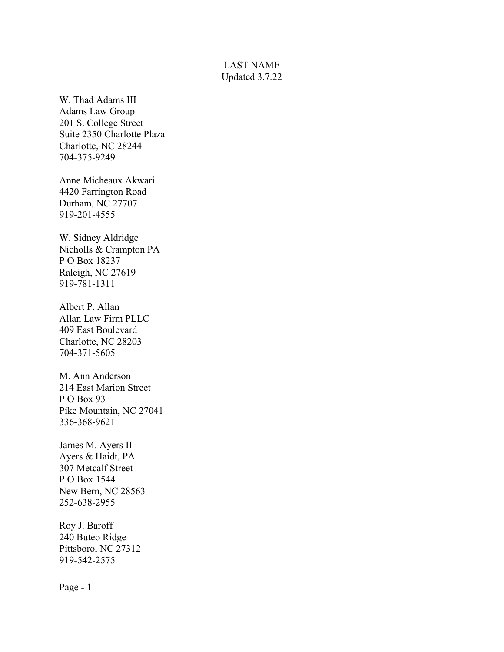## LAST NAME Updated 3.7.22

W. Thad Adams III Adams Law Group 201 S. College Street Suite 2350 Charlotte Plaza Charlotte, NC 28244 704-375-9249

Anne Micheaux Akwari 4420 Farrington Road Durham, NC 27707 919-201-4555

W. Sidney Aldridge Nicholls & Crampton PA P O Box 18237 Raleigh, NC 27619 919-781-1311

Albert P. Allan Allan Law Firm PLLC 409 East Boulevard Charlotte, NC 28203 704-371-5605

M. Ann Anderson 214 East Marion Street P O Box 93 Pike Mountain, NC 27041 336-368-9621

James M. Ayers II Ayers & Haidt, PA 307 Metcalf Street P O Box 1544 New Bern, NC 28563 252-638-2955

Roy J. Baroff 240 Buteo Ridge Pittsboro, NC 27312 919-542-2575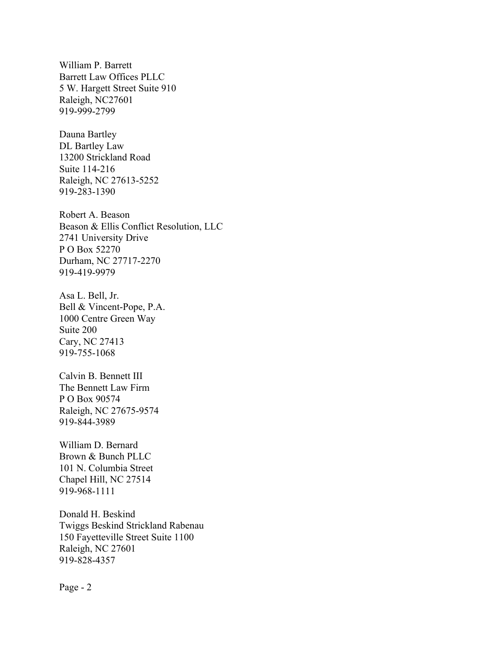William P. Barrett Barrett Law Offices PLLC 5 W. Hargett Street Suite 910 Raleigh, NC27601 919-999-2799

Dauna Bartley DL Bartley Law 13200 Strickland Road Suite 114-216 Raleigh, NC 27613-5252 919-283-1390

Robert A. Beason Beason & Ellis Conflict Resolution, LLC 2741 University Drive P O Box 52270 Durham, NC 27717-2270 919-419-9979

Asa L. Bell, Jr. Bell & Vincent-Pope, P.A. 1000 Centre Green Way Suite 200 Cary, NC 27413 919-755-1068

Calvin B. Bennett III The Bennett Law Firm P O Box 90574 Raleigh, NC 27675-9574 919-844-3989

William D. Bernard Brown & Bunch PLLC 101 N. Columbia Street Chapel Hill, NC 27514 919-968-1111

Donald H. Beskind Twiggs Beskind Strickland Rabenau 150 Fayetteville Street Suite 1100 Raleigh, NC 27601 919-828-4357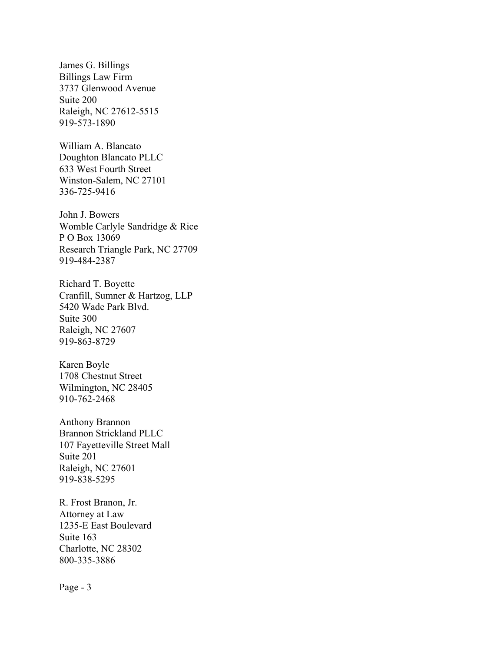James G. Billings Billings Law Firm 3737 Glenwood Avenue Suite 200 Raleigh, NC 27612-5515 919-573-1890

William A. Blancato Doughton Blancato PLLC 633 West Fourth Street Winston-Salem, NC 27101 336-725-9416

John J. Bowers Womble Carlyle Sandridge & Rice P O Box 13069 Research Triangle Park, NC 27709 919-484-2387

Richard T. Boyette Cranfill, Sumner & Hartzog, LLP 5420 Wade Park Blvd. Suite 300 Raleigh, NC 27607 919-863-8729

Karen Boyle 1708 Chestnut Street Wilmington, NC 28405 910-762-2468

Anthony Brannon Brannon Strickland PLLC 107 Fayetteville Street Mall Suite 201 Raleigh, NC 27601 919-838-5295

R. Frost Branon, Jr. Attorney at Law 1235-E East Boulevard Suite 163 Charlotte, NC 28302 800-335-3886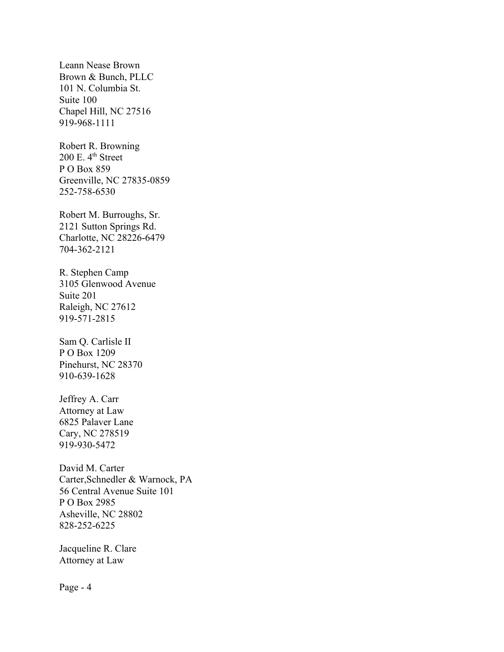Leann Nease Brown Brown & Bunch, PLLC 101 N. Columbia St. Suite 100 Chapel Hill, NC 27516 919-968-1111

Robert R. Browning  $200$  E.  $4<sup>th</sup>$  Street P O Box 859 Greenville, NC 27835-0859 252-758-6530

Robert M. Burroughs, Sr. 2121 Sutton Springs Rd. Charlotte, NC 28226-6479 704-362-2121

R. Stephen Camp 3105 Glenwood Avenue Suite 201 Raleigh, NC 27612 919-571-2815

Sam Q. Carlisle II P O Box 1209 Pinehurst, NC 28370 910-639-1628

Jeffrey A. Carr Attorney at Law 6825 Palaver Lane Cary, NC 278519 919-930-5472

David M. Carter Carter,Schnedler & Warnock, PA 56 Central Avenue Suite 101 P O Box 2985 Asheville, NC 28802 828-252-6225

Jacqueline R. Clare Attorney at Law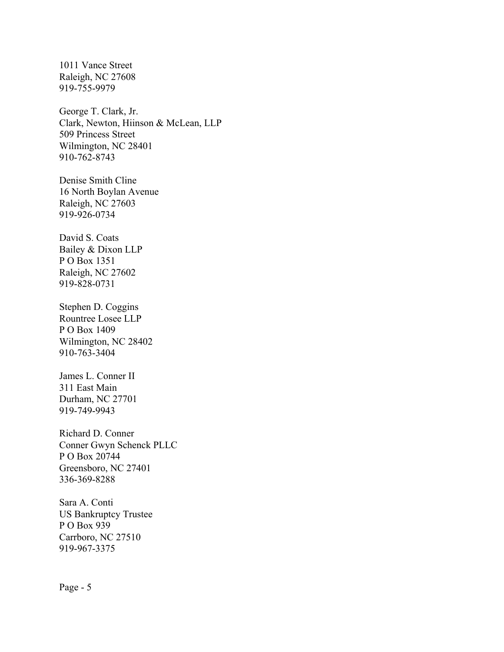1011 Vance Street Raleigh, NC 27608 919-755-9979

George T. Clark, Jr. Clark, Newton, Hiinson & McLean, LLP 509 Princess Street Wilmington, NC 28401 910-762-8743

Denise Smith Cline 16 North Boylan Avenue Raleigh, NC 27603 919-926-0734

David S. Coats Bailey & Dixon LLP P O Box 1351 Raleigh, NC 27602 919-828-0731

Stephen D. Coggins Rountree Losee LLP P O Box 1409 Wilmington, NC 28402 910-763-3404

James L. Conner II 311 East Main Durham, NC 27701 919-749-9943

Richard D. Conner Conner Gwyn Schenck PLLC P O Box 20744 Greensboro, NC 27401 336-369-8288

Sara A. Conti US Bankruptcy Trustee P O Box 939 Carrboro, NC 27510 919-967-3375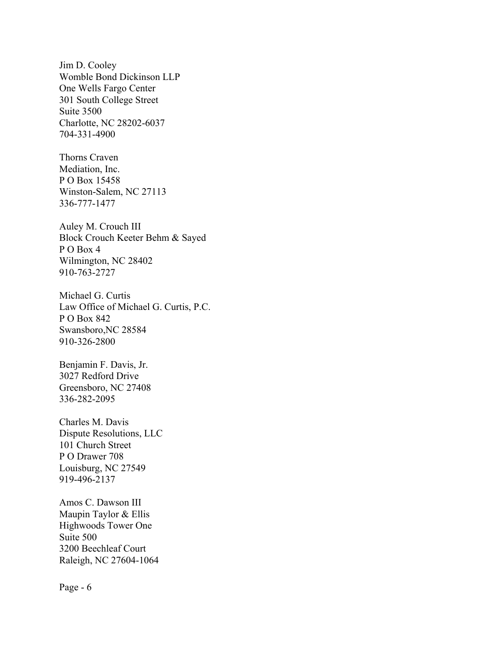Jim D. Cooley Womble Bond Dickinson LLP One Wells Fargo Center 301 South College Street Suite 3500 Charlotte, NC 28202-6037 704-331-4900

Thorns Craven Mediation, Inc. P O Box 15458 Winston-Salem, NC 27113 336-777-1477

Auley M. Crouch III Block Crouch Keeter Behm & Sayed P O Box 4 Wilmington, NC 28402 910-763-2727

Michael G. Curtis Law Office of Michael G. Curtis, P.C. P O Box 842 Swansboro,NC 28584 910-326-2800

Benjamin F. Davis, Jr. 3027 Redford Drive Greensboro, NC 27408 336-282-2095

Charles M. Davis Dispute Resolutions, LLC 101 Church Street P O Drawer 708 Louisburg, NC 27549 919-496-2137

Amos C. Dawson III Maupin Taylor & Ellis Highwoods Tower One Suite 500 3200 Beechleaf Court Raleigh, NC 27604-1064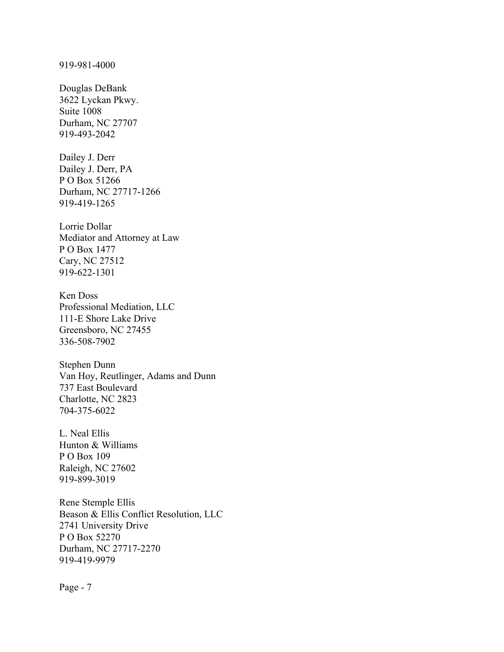Douglas DeBank 3622 Lyckan Pkwy. Suite 1008 Durham, NC 27707 919-493-2042

Dailey J. Derr Dailey J. Derr, PA P O Box 51266 Durham, NC 27717-1266 919-419-1265

Lorrie Dollar Mediator and Attorney at Law P O Box 1477 Cary, NC 27512 919-622-1301

Ken Doss Professional Mediation, LLC 111-E Shore Lake Drive Greensboro, NC 27455 336-508-7902

Stephen Dunn Van Hoy, Reutlinger, Adams and Dunn 737 East Boulevard Charlotte, NC 2823 704-375-6022

L. Neal Ellis Hunton & Williams P O Box 109 Raleigh, NC 27602 919-899-3019

Rene Stemple Ellis Beason & Ellis Conflict Resolution, LLC 2741 University Drive P O Box 52270 Durham, NC 27717-2270 919-419-9979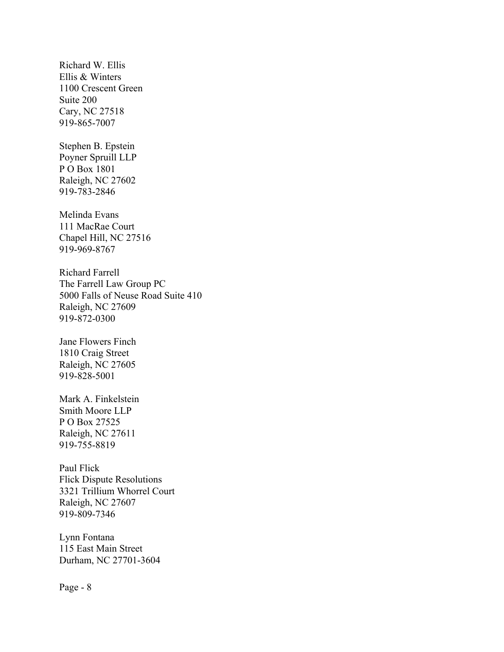Richard W. Ellis Ellis & Winters 1100 Crescent Green Suite 200 Cary, NC 27518 919-865-7007

Stephen B. Epstein Poyner Spruill LLP P O Box 1801 Raleigh, NC 27602 919-783-2846

Melinda Evans 111 MacRae Court Chapel Hill, NC 27516 919-969-8767

Richard Farrell The Farrell Law Group PC 5000 Falls of Neuse Road Suite 410 Raleigh, NC 27609 919-872-0300

Jane Flowers Finch 1810 Craig Street Raleigh, NC 27605 919-828-5001

Mark A. Finkelstein Smith Moore LLP P O Box 27525 Raleigh, NC 27611 919-755-8819

Paul Flick Flick Dispute Resolutions 3321 Trillium Whorrel Court Raleigh, NC 27607 919-809-7346

Lynn Fontana 115 East Main Street Durham, NC 27701-3604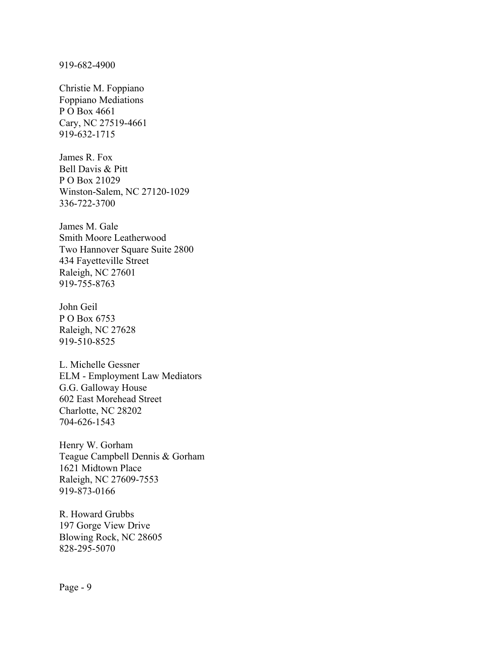919-682-4900

Christie M. Foppiano Foppiano Mediations P O Box 4661 Cary, NC 27519-4661 919-632-1715

James R. Fox Bell Davis & Pitt P O Box 21029 Winston-Salem, NC 27120-1029 336-722-3700

James M. Gale Smith Moore Leatherwood Two Hannover Square Suite 2800 434 Fayetteville Street Raleigh, NC 27601 919-755-8763

John Geil P O Box 6753 Raleigh, NC 27628 919-510-8525

L. Michelle Gessner ELM - Employment Law Mediators G.G. Galloway House 602 East Morehead Street Charlotte, NC 28202 704-626-1543

Henry W. Gorham Teague Campbell Dennis & Gorham 1621 Midtown Place Raleigh, NC 27609-7553 919-873-0166

R. Howard Grubbs 197 Gorge View Drive Blowing Rock, NC 28605 828-295-5070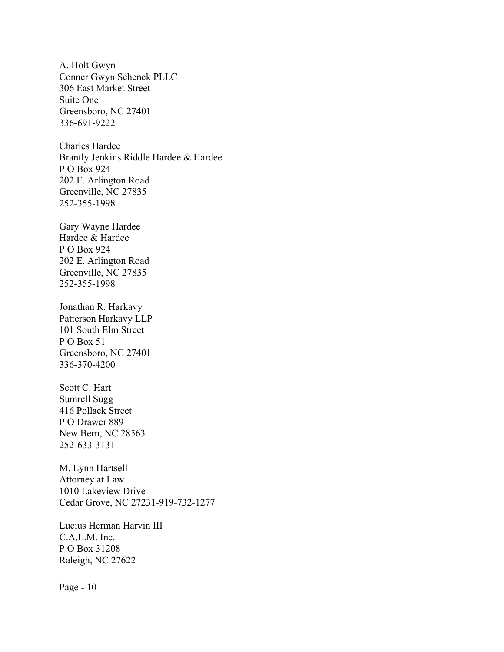A. Holt Gwyn Conner Gwyn Schenck PLLC 306 East Market Street Suite One Greensboro, NC 27401 336-691-9222

Charles Hardee Brantly Jenkins Riddle Hardee & Hardee P O Box 924 202 E. Arlington Road Greenville, NC 27835 252-355-1998

Gary Wayne Hardee Hardee & Hardee P O Box 924 202 E. Arlington Road Greenville, NC 27835 252-355-1998

Jonathan R. Harkavy Patterson Harkavy LLP 101 South Elm Street P O Box 51 Greensboro, NC 27401 336-370-4200

Scott C. Hart Sumrell Sugg 416 Pollack Street P O Drawer 889 New Bern, NC 28563 252-633-3131

M. Lynn Hartsell Attorney at Law 1010 Lakeview Drive Cedar Grove, NC 27231-919-732-1277

Lucius Herman Harvin III C.A.L.M. Inc. P O Box 31208 Raleigh, NC 27622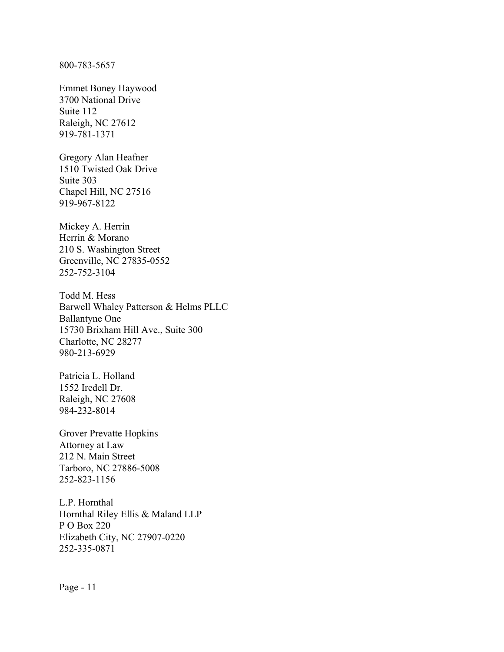800-783-5657

Emmet Boney Haywood 3700 National Drive Suite 112 Raleigh, NC 27612 919-781-1371

Gregory Alan Heafner 1510 Twisted Oak Drive Suite 303 Chapel Hill, NC 27516 919-967-8122

Mickey A. Herrin Herrin & Morano 210 S. Washington Street Greenville, NC 27835-0552 252-752-3104

Todd M. Hess Barwell Whaley Patterson & Helms PLLC Ballantyne One 15730 Brixham Hill Ave., Suite 300 Charlotte, NC 28277 980-213-6929

Patricia L. Holland 1552 Iredell Dr. Raleigh, NC 27608 984-232-8014

Grover Prevatte Hopkins Attorney at Law 212 N. Main Street Tarboro, NC 27886-5008 252-823-1156

L.P. Hornthal Hornthal Riley Ellis & Maland LLP P O Box 220 Elizabeth City, NC 27907-0220 252-335-0871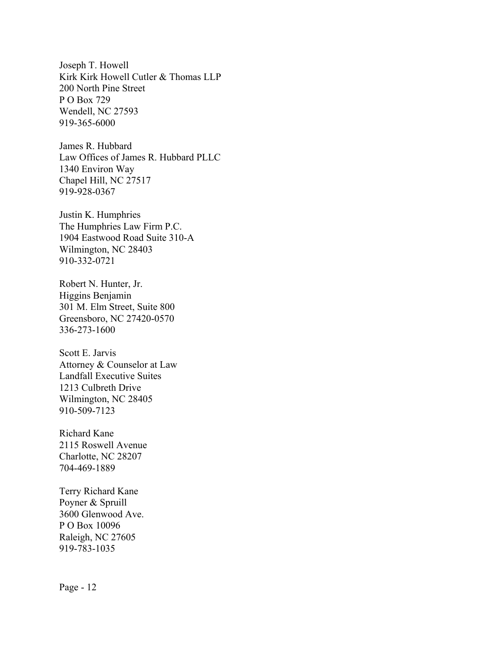Joseph T. Howell Kirk Kirk Howell Cutler & Thomas LLP 200 North Pine Street P O Box 729 Wendell, NC 27593 919-365-6000

James R. Hubbard Law Offices of James R. Hubbard PLLC 1340 Environ Way Chapel Hill, NC 27517 919-928-0367

Justin K. Humphries The Humphries Law Firm P.C. 1904 Eastwood Road Suite 310-A Wilmington, NC 28403 910-332-0721

Robert N. Hunter, Jr. Higgins Benjamin 301 M. Elm Street, Suite 800 Greensboro, NC 27420-0570 336-273-1600

Scott E. Jarvis Attorney & Counselor at Law Landfall Executive Suites 1213 Culbreth Drive Wilmington, NC 28405 910-509-7123

Richard Kane 2115 Roswell Avenue Charlotte, NC 28207 704-469-1889

Terry Richard Kane Poyner & Spruill 3600 Glenwood Ave. P O Box 10096 Raleigh, NC 27605 919-783-1035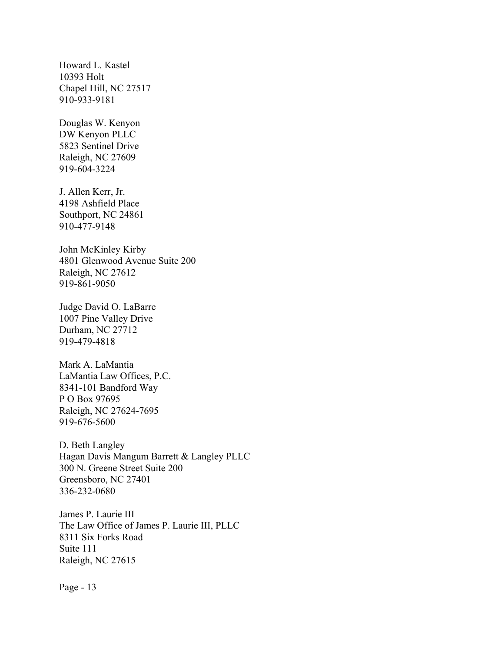Howard L. Kastel 10393 Holt Chapel Hill, NC 27517 910-933-9181

Douglas W. Kenyon DW Kenyon PLLC 5823 Sentinel Drive Raleigh, NC 27609 919-604-3224

J. Allen Kerr, Jr. 4198 Ashfield Place Southport, NC 24861 910-477-9148

John McKinley Kirby 4801 Glenwood Avenue Suite 200 Raleigh, NC 27612 919-861-9050

Judge David O. LaBarre 1007 Pine Valley Drive Durham, NC 27712 919-479-4818

Mark A. LaMantia LaMantia Law Offices, P.C. 8341-101 Bandford Way P O Box 97695 Raleigh, NC 27624-7695 919-676-5600

D. Beth Langley Hagan Davis Mangum Barrett & Langley PLLC 300 N. Greene Street Suite 200 Greensboro, NC 27401 336-232-0680

James P. Laurie III The Law Office of James P. Laurie III, PLLC 8311 Six Forks Road Suite 111 Raleigh, NC 27615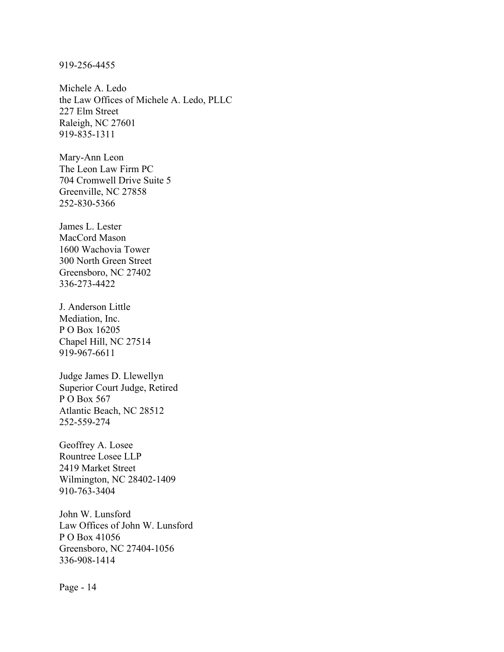## 919-256-4455

Michele A. Ledo the Law Offices of Michele A. Ledo, PLLC 227 Elm Street Raleigh, NC 27601 919-835-1311

Mary-Ann Leon The Leon Law Firm PC 704 Cromwell Drive Suite 5 Greenville, NC 27858 252-830-5366

James L. Lester MacCord Mason 1600 Wachovia Tower 300 North Green Street Greensboro, NC 27402 336-273-4422

J. Anderson Little Mediation, Inc. P O Box 16205 Chapel Hill, NC 27514 919-967-6611

Judge James D. Llewellyn Superior Court Judge, Retired P O Box 567 Atlantic Beach, NC 28512 252-559-274

Geoffrey A. Losee Rountree Losee LLP 2419 Market Street Wilmington, NC 28402-1409 910-763-3404

John W. Lunsford Law Offices of John W. Lunsford P O Box 41056 Greensboro, NC 27404-1056 336-908-1414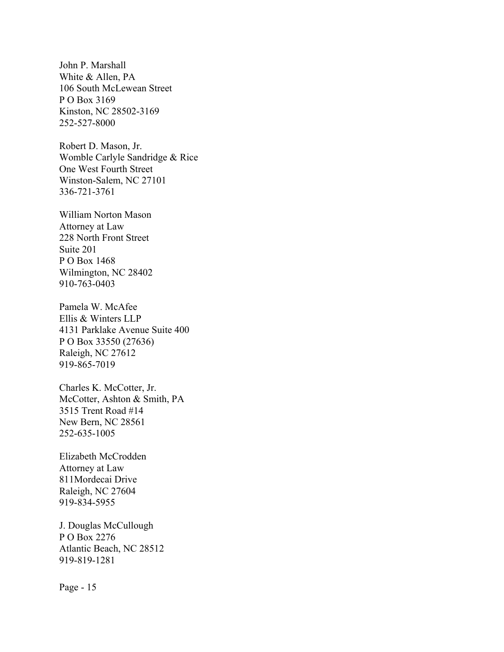John P. Marshall White & Allen, PA 106 South McLewean Street P O Box 3169 Kinston, NC 28502-3169 252-527-8000

Robert D. Mason, Jr. Womble Carlyle Sandridge & Rice One West Fourth Street Winston-Salem, NC 27101 336-721-3761

William Norton Mason Attorney at Law 228 North Front Street Suite 201 P O Box 1468 Wilmington, NC 28402 910-763-0403

Pamela W. McAfee Ellis & Winters LLP 4131 Parklake Avenue Suite 400 P O Box 33550 (27636) Raleigh, NC 27612 919-865-7019

Charles K. McCotter, Jr. McCotter, Ashton & Smith, PA 3515 Trent Road #14 New Bern, NC 28561 252-635-1005

Elizabeth McCrodden Attorney at Law 811Mordecai Drive Raleigh, NC 27604 919-834-5955

J. Douglas McCullough P O Box 2276 Atlantic Beach, NC 28512 919-819-1281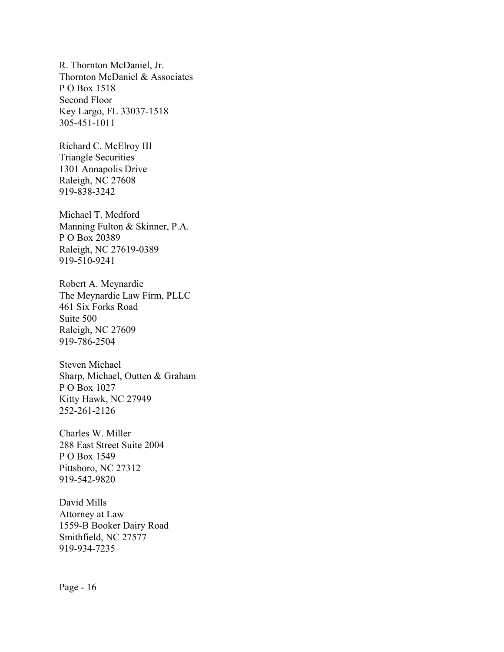R. Thornton McDaniel, Jr. Thornton McDaniel & Associates P O Box 1518 Second Floor Key Largo, FL 33037-1518 305-451-1011

Richard C. McElroy III Triangle Securities 1301 Annapolis Drive Raleigh, NC 27608 919-838-3242

Michael T. Medford Manning Fulton & Skinner, P.A. P O Box 20389 Raleigh, NC 27619-0389 919-510-9241

Robert A. Meynardie The Meynardie Law Firm, PLLC 461 Six Forks Road Suite 500 Raleigh, NC 27609 919-786-2504

Steven Michael Sharp, Michael, Outten & Graham P O Box 1027 Kitty Hawk, NC 27949 252-261-2126

Charles W. Miller 288 East Street Suite 2004 P O Box 1549 Pittsboro, NC 27312 919-542-9820

David Mills Attorney at Law 1559-B Booker Dairy Road Smithfield, NC 27577 919-934-7235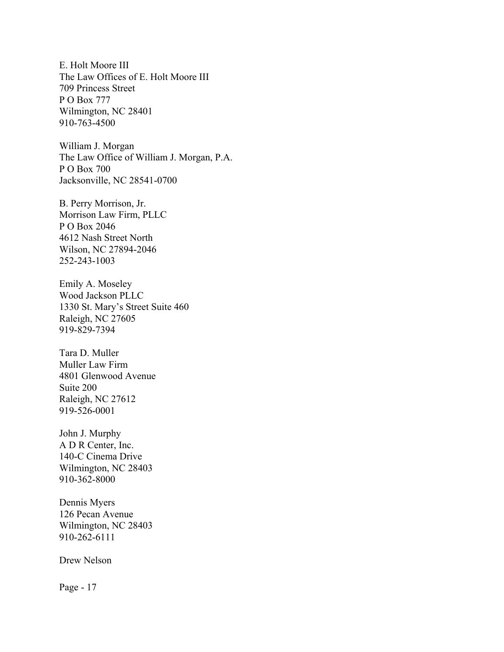E. Holt Moore III The Law Offices of E. Holt Moore III 709 Princess Street P O Box 777 Wilmington, NC 28401 910-763-4500

William J. Morgan The Law Office of William J. Morgan, P.A. P O Box 700 Jacksonville, NC 28541-0700

B. Perry Morrison, Jr. Morrison Law Firm, PLLC P O Box 2046 4612 Nash Street North Wilson, NC 27894-2046 252-243-1003

Emily A. Moseley Wood Jackson PLLC 1330 St. Mary's Street Suite 460 Raleigh, NC 27605 919-829-7394

Tara D. Muller Muller Law Firm 4801 Glenwood Avenue Suite 200 Raleigh, NC 27612 919-526-0001

John J. Murphy A D R Center, Inc. 140-C Cinema Drive Wilmington, NC 28403 910-362-8000

Dennis Myers 126 Pecan Avenue Wilmington, NC 28403 910-262-6111

Drew Nelson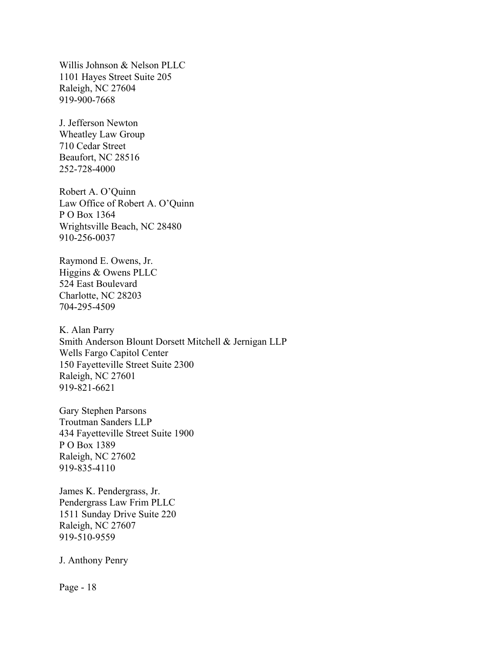Willis Johnson & Nelson PLLC 1101 Hayes Street Suite 205 Raleigh, NC 27604 919-900-7668

J. Jefferson Newton Wheatley Law Group 710 Cedar Street Beaufort, NC 28516 252-728-4000

Robert A. O'Quinn Law Office of Robert A. O'Quinn P O Box 1364 Wrightsville Beach, NC 28480 910-256-0037

Raymond E. Owens, Jr. Higgins & Owens PLLC 524 East Boulevard Charlotte, NC 28203 704-295-4509

K. Alan Parry Smith Anderson Blount Dorsett Mitchell & Jernigan LLP Wells Fargo Capitol Center 150 Fayetteville Street Suite 2300 Raleigh, NC 27601 919-821-6621

Gary Stephen Parsons Troutman Sanders LLP 434 Fayetteville Street Suite 1900 P O Box 1389 Raleigh, NC 27602 919-835-4110

James K. Pendergrass, Jr. Pendergrass Law Frim PLLC 1511 Sunday Drive Suite 220 Raleigh, NC 27607 919-510-9559

J. Anthony Penry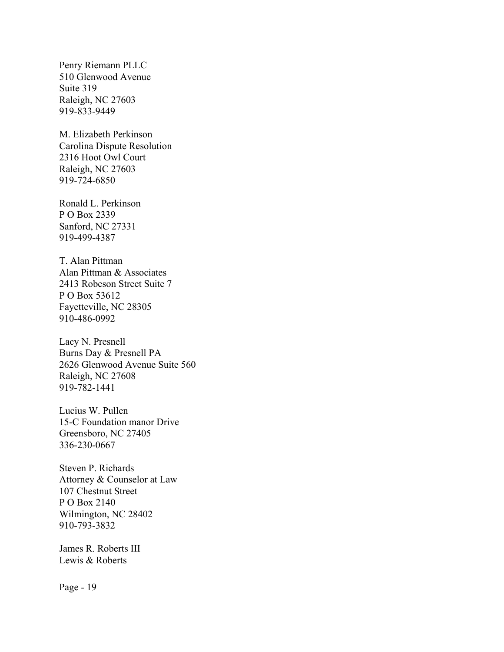Penry Riemann PLLC 510 Glenwood Avenue Suite 319 Raleigh, NC 27603 919-833-9449

M. Elizabeth Perkinson Carolina Dispute Resolution 2316 Hoot Owl Court Raleigh, NC 27603 919-724-6850

Ronald L. Perkinson P O Box 2339 Sanford, NC 27331 919-499-4387

T. Alan Pittman Alan Pittman & Associates 2413 Robeson Street Suite 7 P O Box 53612 Fayetteville, NC 28305 910-486-0992

Lacy N. Presnell Burns Day & Presnell PA 2626 Glenwood Avenue Suite 560 Raleigh, NC 27608 919-782-1441

Lucius W. Pullen 15-C Foundation manor Drive Greensboro, NC 27405 336-230-0667

Steven P. Richards Attorney & Counselor at Law 107 Chestnut Street P O Box 2140 Wilmington, NC 28402 910-793-3832

James R. Roberts III Lewis & Roberts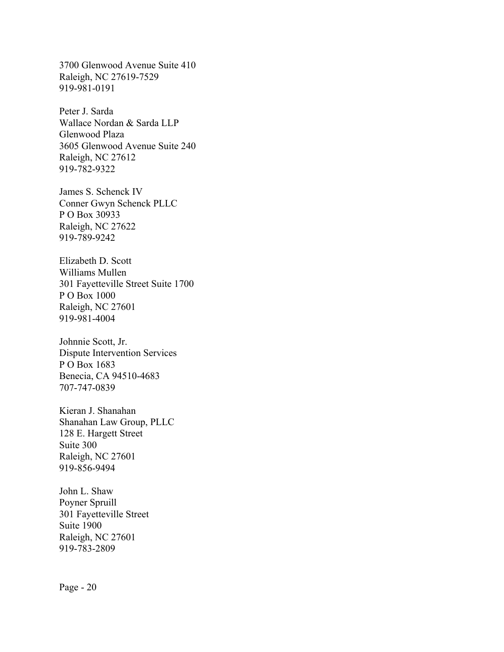3700 Glenwood Avenue Suite 410 Raleigh, NC 27619-7529 919-981-0191

Peter J. Sarda Wallace Nordan & Sarda LLP Glenwood Plaza 3605 Glenwood Avenue Suite 240 Raleigh, NC 27612 919-782-9322

James S. Schenck IV Conner Gwyn Schenck PLLC P O Box 30933 Raleigh, NC 27622 919-789-9242

Elizabeth D. Scott Williams Mullen 301 Fayetteville Street Suite 1700 P O Box 1000 Raleigh, NC 27601 919-981-4004

Johnnie Scott, Jr. Dispute Intervention Services P O Box 1683 Benecia, CA 94510-4683 707-747-0839

Kieran J. Shanahan Shanahan Law Group, PLLC 128 E. Hargett Street Suite 300 Raleigh, NC 27601 919-856-9494

John L. Shaw Poyner Spruill 301 Fayetteville Street Suite 1900 Raleigh, NC 27601 919-783-2809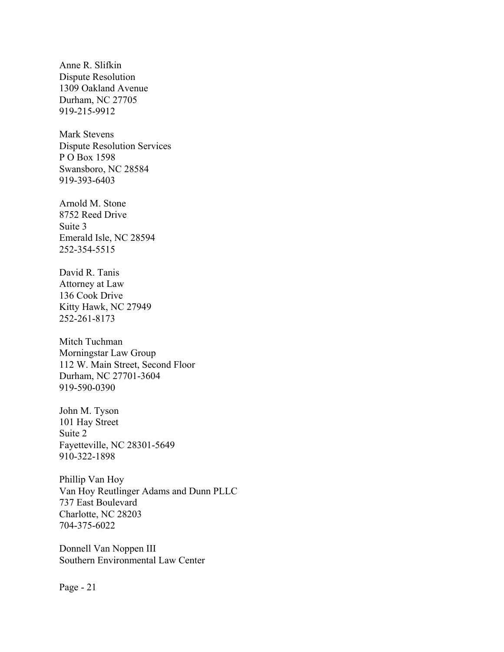Anne R. Slifkin Dispute Resolution 1309 Oakland Avenue Durham, NC 27705 919-215-9912

Mark Stevens Dispute Resolution Services P O Box 1598 Swansboro, NC 28584 919-393-6403

Arnold M. Stone 8752 Reed Drive Suite 3 Emerald Isle, NC 28594 252-354-5515

David R. Tanis Attorney at Law 136 Cook Drive Kitty Hawk, NC 27949 252-261-8173

Mitch Tuchman Morningstar Law Group 112 W. Main Street, Second Floor Durham, NC 27701-3604 919-590-0390

John M. Tyson 101 Hay Street Suite 2 Fayetteville, NC 28301-5649 910-322-1898

Phillip Van Hoy Van Hoy Reutlinger Adams and Dunn PLLC 737 East Boulevard Charlotte, NC 28203 704-375-6022

Donnell Van Noppen III Southern Environmental Law Center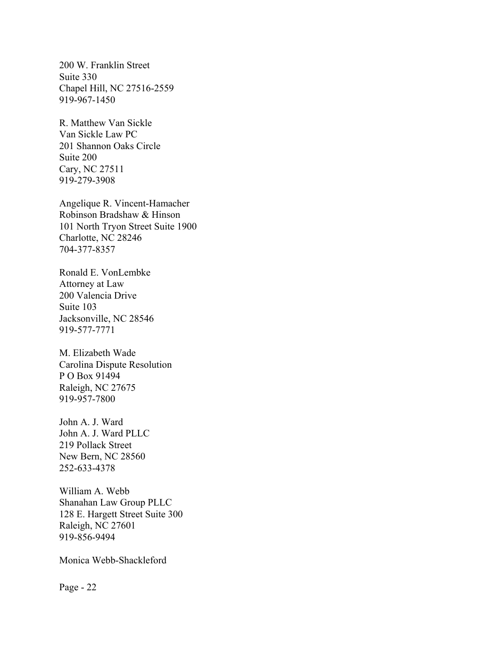200 W. Franklin Street Suite 330 Chapel Hill, NC 27516-2559 919-967-1450

R. Matthew Van Sickle Van Sickle Law PC 201 Shannon Oaks Circle Suite 200 Cary, NC 27511 919-279-3908

Angelique R. Vincent-Hamacher Robinson Bradshaw & Hinson 101 North Tryon Street Suite 1900 Charlotte, NC 28246 704-377-8357

Ronald E. VonLembke Attorney at Law 200 Valencia Drive Suite 103 Jacksonville, NC 28546 919-577-7771

M. Elizabeth Wade Carolina Dispute Resolution P O Box 91494 Raleigh, NC 27675 919-957-7800

John A. J. Ward John A. J. Ward PLLC 219 Pollack Street New Bern, NC 28560 252-633-4378

William A. Webb Shanahan Law Group PLLC 128 E. Hargett Street Suite 300 Raleigh, NC 27601 919-856-9494

Monica Webb-Shackleford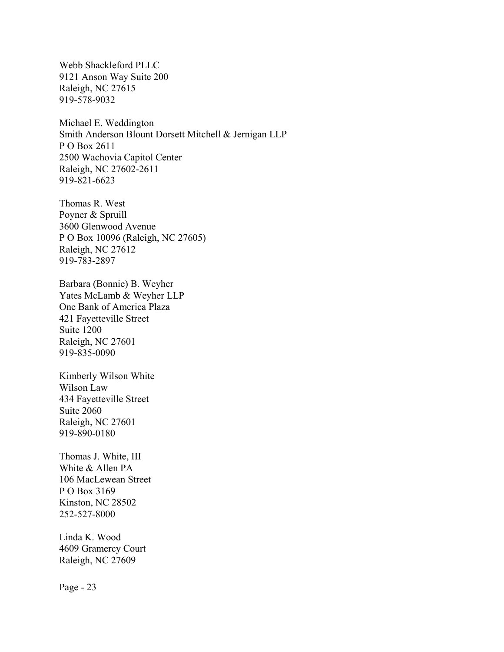Webb Shackleford PLLC 9121 Anson Way Suite 200 Raleigh, NC 27615 919-578-9032

Michael E. Weddington Smith Anderson Blount Dorsett Mitchell & Jernigan LLP P O Box 2611 2500 Wachovia Capitol Center Raleigh, NC 27602-2611 919-821-6623

Thomas R. West Poyner & Spruill 3600 Glenwood Avenue P O Box 10096 (Raleigh, NC 27605) Raleigh, NC 27612 919-783-2897

Barbara (Bonnie) B. Weyher Yates McLamb & Weyher LLP One Bank of America Plaza 421 Fayetteville Street Suite 1200 Raleigh, NC 27601 919-835-0090

Kimberly Wilson White Wilson Law 434 Fayetteville Street Suite 2060 Raleigh, NC 27601 919-890-0180

Thomas J. White, III White & Allen PA 106 MacLewean Street P O Box 3169 Kinston, NC 28502 252-527-8000

Linda K. Wood 4609 Gramercy Court Raleigh, NC 27609